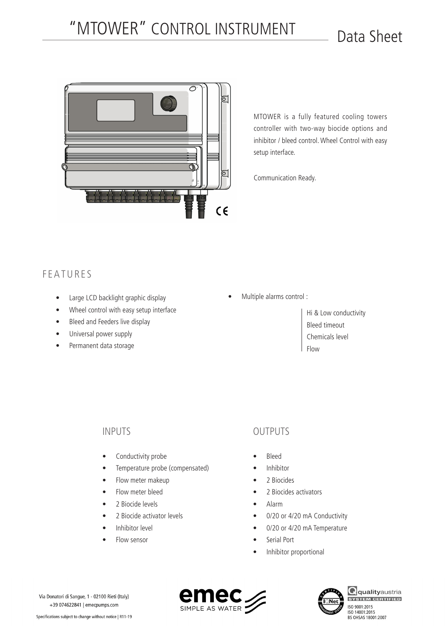## "MTOWER" CONTROL INSTRUMENT Data Sheet



MTOWER is a fully featured cooling towers controller with two-way biocide options and inhibitor / bleed control. Wheel Control with easy setup interface.

Communication Ready.

## FEATURES

- • Large LCD backlight graphic display
- • Wheel control with easy setup interface
- Bleed and Feeders live display
- Universal power supply
- • Permanent data storage

Multiple alarms control :

Hi & Low conductivity Bleed timeout Chemicals level Flow

### INPUTS

- Conductivity probe
- • Temperature probe (compensated)
- Flow meter makeup
- Flow meter bleed
- 2 Biocide levels
- 2 Biocide activator levels
- Inhibitor level
- Flow sensor

## OUTPUTS

- • Bleed
- **Inhibitor**
- 2 Biocides
- 2 Biocides activators
- • Alarm
- 0/20 or 4/20 mA Conductivity
- 0/20 or 4/20 mA Temperature
- Serial Port
- Inhibitor proportional







**Q**qualityaustria ISO 9001:2015 ISO 14001:2015<br>BS OHSAS 18001:2007